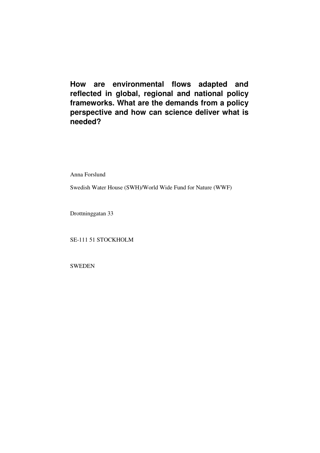**How are environmental flows adapted and reflected in global, regional and national policy frameworks. What are the demands from a policy perspective and how can science deliver what is needed?** 

Anna Forslund

Swedish Water House (SWH)/World Wide Fund for Nature (WWF)

Drottninggatan 33

SE-111 51 STOCKHOLM

SWEDEN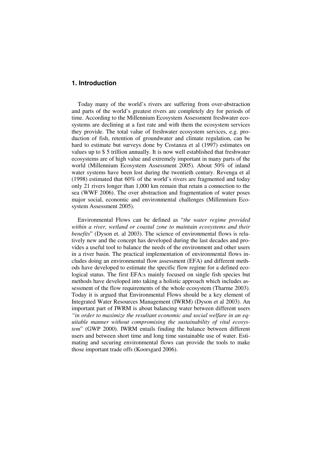## **1. Introduction**

Today many of the world's rivers are suffering from over-abstraction and parts of the world's greatest rivers are completely dry for periods of time. According to the Millennium Ecosystem Assessment freshwater ecosystems are declining at a fast rate and with them the ecosystem services they provide. The total value of freshwater ecosystem services, e.g. production of fish, retention of groundwater and climate regulation, can be hard to estimate but surveys done by Costanza et al (1997) estimates on values up to \$ 5 trillion annually. It is now well established that freshwater ecosystems are of high value and extremely important in many parts of the world (Millennium Ecosystem Assessment 2005). About 50% of inland water systems have been lost during the twentieth century. Revenga et al (1998) estimated that 60% of the world's rivers are fragmented and today only 21 rivers longer than 1,000 km remain that retain a connection to the sea (WWF 2006). The over abstraction and fragmentation of water poses major social, economic and environmental challenges (Millennium Ecosystem Assessment 2005).

Environmental Flows can be defined as "*the water regime provided within a river, wetland or coastal zone to maintain ecosystems and their benefits*" (Dyson et. al 2003). The science of environmental flows is relatively new and the concept has developed during the last decades and provides a useful tool to balance the needs of the environment and other users in a river basin. The practical implementation of environmental flows includes doing an environmental flow assessment (EFA) and different methods have developed to estimate the specific flow regime for a defined ecological status. The first EFA:s mainly focused on single fish species but methods have developed into taking a holistic approach which includes assessment of the flow requirements of the whole ecosystem (Tharme 2003). Today it is argued that Environmental Flows should be a key element of Integrated Water Resources Management (IWRM) (Dyson et al 2003). An important part of IWRM is about balancing water between different users *"in order to maximize the resultant economic and social welfare in an equitable manner without compromising the sustainability of vital ecosystem*" (GWP 2000). IWRM entails finding the balance between different users and between short time and long time sustainable use of water. Estimating and securing environmental flows can provide the tools to make those important trade offs (Koorsgard 2006).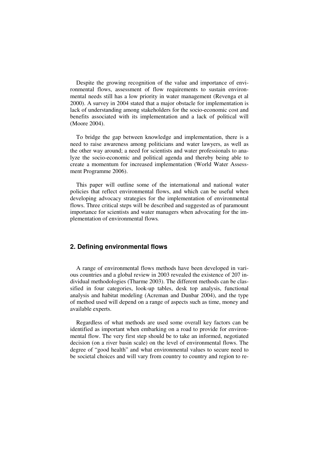Despite the growing recognition of the value and importance of environmental flows, assessment of flow requirements to sustain environmental needs still has a low priority in water management (Revenga et al 2000). A survey in 2004 stated that a major obstacle for implementation is lack of understanding among stakeholders for the socio-economic cost and benefits associated with its implementation and a lack of political will (Moore 2004).

To bridge the gap between knowledge and implementation, there is a need to raise awareness among politicians and water lawyers, as well as the other way around; a need for scientists and water professionals to analyze the socio-economic and political agenda and thereby being able to create a momentum for increased implementation (World Water Assessment Programme 2006).

This paper will outline some of the international and national water policies that reflect environmental flows, and which can be useful when developing advocacy strategies for the implementation of environmental flows. Three critical steps will be described and suggested as of paramount importance for scientists and water managers when advocating for the implementation of environmental flows*.*

## **2. Defining environmental flows**

A range of environmental flows methods have been developed in various countries and a global review in 2003 revealed the existence of 207 individual methodologies (Tharme 2003). The different methods can be classified in four categories, look-up tables, desk top analysis, functional analysis and habitat modeling (Acreman and Dunbar 2004), and the type of method used will depend on a range of aspects such as time, money and available experts.

Regardless of what methods are used some overall key factors can be identified as important when embarking on a road to provide for environmental flow. The very first step should be to take an informed, negotiated decision (on a river basin scale) on the level of environmental flows. The degree of "good health" and what environmental values to secure need to be societal choices and will vary from country to country and region to re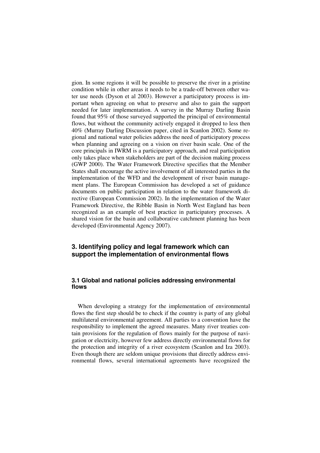gion. In some regions it will be possible to preserve the river in a pristine condition while in other areas it needs to be a trade-off between other water use needs (Dyson et al 2003). However a participatory process is important when agreeing on what to preserve and also to gain the support needed for later implementation. A survey in the Murray Darling Basin found that 95% of those surveyed supported the principal of environmental flows, but without the community actively engaged it dropped to less then 40% (Murray Darling Discussion paper, cited in Scanlon 2002). Some regional and national water policies address the need of participatory process when planning and agreeing on a vision on river basin scale. One of the core principals in IWRM is a participatory approach, and real participation only takes place when stakeholders are part of the decision making process (GWP 2000). The Water Framework Directive specifies that the Member States shall encourage the active involvement of all interested parties in the implementation of the WFD and the development of river basin management plans. The European Commission has developed a set of guidance documents on public participation in relation to the water framework directive (European Commission 2002). In the implementation of the Water Framework Directive, the Ribble Basin in North West England has been recognized as an example of best practice in participatory processes. A shared vision for the basin and collaborative catchment planning has been developed (Environmental Agency 2007).

# **3. Identifying policy and legal framework which can support the implementation of environmental flows**

## **3.1 Global and national policies addressing environmental flows**

When developing a strategy for the implementation of environmental flows the first step should be to check if the country is party of any global multilateral environmental agreement. All parties to a convention have the responsibility to implement the agreed measures. Many river treaties contain provisions for the regulation of flows mainly for the purpose of navigation or electricity, however few address directly environmental flows for the protection and integrity of a river ecosystem (Scanlon and Iza 2003). Even though there are seldom unique provisions that directly address environmental flows, several international agreements have recognized the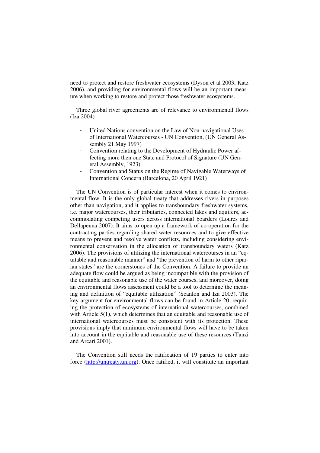need to protect and restore freshwater ecosystems (Dyson et al 2003, Katz 2006), and providing for environmental flows will be an important measure when working to restore and protect those freshwater ecosystems.

Three global river agreements are of relevance to environmental flows (Iza 2004)

- United Nations convention on the Law of Non-navigational Uses of International Watercourses - UN Convention, (UN General Assembly 21 May 1997)
- Convention relating to the Development of Hydraulic Power affecting more then one State and Protocol of Signature (UN General Assembly, 1923)
- Convention and Status on the Regime of Navigable Waterways of International Concern (Barcelona, 20 April 1921)

The UN Convention is of particular interest when it comes to environmental flow. It is the only global treaty that addresses rivers in purposes other than navigation, and it applies to transboundary freshwater systems, i.e. major watercourses, their tributaries, connected lakes and aquifers, accommodating competing users across international boarders (Loures and Dellapenna 2007). It aims to open up a framework of co-operation for the contracting parties regarding shared water resources and to give effective means to prevent and resolve water conflicts, including considering environmental conservation in the allocation of transboundary waters (Katz 2006). The provisions of utilizing the international watercourses in an "equitable and reasonable manner" and "the prevention of harm to other riparian states" are the cornerstones of the Convention. A failure to provide an adequate flow could be argued as being incompatible with the provision of the equitable and reasonable use of the water courses, and moreover, doing an environmental flows assessment could be a tool to determine the meaning and definition of "equitable utilization" (Scanlon and Iza 2003). The key argument for environmental flows can be found in Article 20, requiring the protection of ecosystems of international watercourses, combined with Article 5(1), which determines that an equitable and reasonable use of international watercourses must be consistent with its protection. These provisions imply that minimum environmental flows will have to be taken into account in the equitable and reasonable use of these resources (Tanzi and Arcari 2001).

The Convention still needs the ratification of 19 parties to enter into force (http://untreaty.un.org). Once ratified, it will constitute an important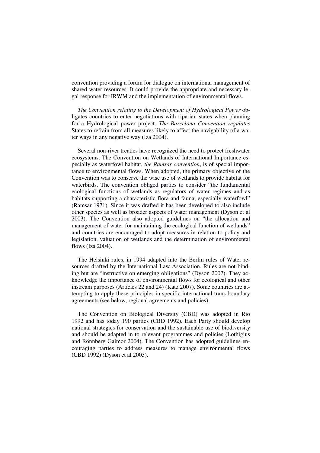convention providing a forum for dialogue on international management of shared water resources. It could provide the appropriate and necessary legal response for IRWM and the implementation of environmental flows.

*The Convention relating to the Development of Hydrological Power* obligates countries to enter negotiations with riparian states when planning for a Hydrological power project. *The Barcelona Convention regulates* States to refrain from all measures likely to affect the navigability of a water ways in any negative way (Iza 2004).

Several non-river treaties have recognized the need to protect freshwater ecosystems. The Convention on Wetlands of International Importance especially as waterfowl habitat, *the Ramsar convention*, is of special importance to environmental flows. When adopted, the primary objective of the Convention was to conserve the wise use of wetlands to provide habitat for waterbirds. The convention obliged parties to consider "the fundamental ecological functions of wetlands as regulators of water regimes and as habitats supporting a characteristic flora and fauna, especially waterfowl" (Ramsar 1971). Since it was drafted it has been developed to also include other species as well as broader aspects of water management (Dyson et al 2003). The Convention also adopted guidelines on "the allocation and management of water for maintaining the ecological function of wetlands" and countries are encouraged to adopt measures in relation to policy and legislation, valuation of wetlands and the determination of environmental flows (Iza 2004).

The Helsinki rules, in 1994 adapted into the Berlin rules of Water resources drafted by the International Law Association. Rules are not binding but are "instructive on emerging obligations" (Dyson 2007). They acknowledge the importance of environmental flows for ecological and other instream purposes (Articles 22 and 24) (Katz 2007). Some countries are attempting to apply these principles in specific international trans-boundary agreements (see below, regional agreements and policies).

The Convention on Biological Diversity (CBD) was adopted in Rio 1992 and has today 190 parties (CBD 1992). Each Party should develop national strategies for conservation and the sustainable use of biodiversity and should be adapted in to relevant programmes and policies (Lothigius and Rönnberg Galmor 2004). The Convention has adopted guidelines encouraging parties to address measures to manage environmental flows (CBD 1992) (Dyson et al 2003).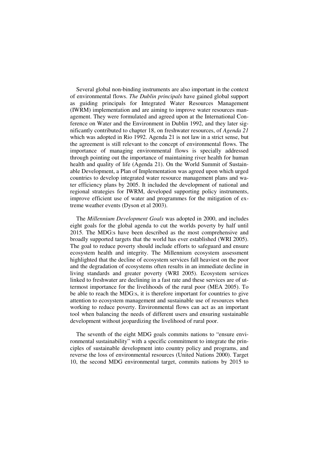Several global non-binding instruments are also important in the context of environmental flows. *The Dublin principals* have gained global support as guiding principals for Integrated Water Resources Management (IWRM) implementation and are aiming to improve water resources management. They were formulated and agreed upon at the International Conference on Water and the Environment in Dublin 1992, and they later significantly contributed to chapter 18, on freshwater resources, of *Agenda 21* which was adopted in Rio 1992. Agenda 21 is not law in a strict sense, but the agreement is still relevant to the concept of environmental flows. The importance of managing environmental flows is specially addressed through pointing out the importance of maintaining river health for human health and quality of life (Agenda 21). On the World Summit of Sustainable Development, a Plan of Implementation was agreed upon which urged countries to develop integrated water resource management plans and water efficiency plans by 2005. It included the development of national and regional strategies for IWRM, developed supporting policy instruments, improve efficient use of water and programmes for the mitigation of extreme weather events (Dyson et al 2003).

The *Millennium Development Goals* was adopted in 2000, and includes eight goals for the global agenda to cut the worlds poverty by half until 2015. The MDG:s have been described as the most comprehensive and broadly supported targets that the world has ever established (WRI 2005). The goal to reduce poverty should include efforts to safeguard and ensure ecosystem health and integrity. The Millennium ecosystem assessment highlighted that the decline of ecosystem services fall heaviest on the poor and the degradation of ecosystems often results in an immediate decline in living standards and greater poverty (WRI 2005). Ecosystem services linked to freshwater are declining in a fast rate and these services are of uttermost importance for the livelihoods of the rural poor (MEA 2005). To be able to reach the MDG:s, it is therefore important for countries to give attention to ecosystem management and sustainable use of resources when working to reduce poverty. Environmental flows can act as an important tool when balancing the needs of different users and ensuring sustainable development without jeopardizing the livelihood of rural poor.

The seventh of the eight MDG goals commits nations to "ensure environmental sustainability" with a specific commitment to integrate the principles of sustainable development into country policy and programs, and reverse the loss of environmental resources (United Nations 2000). Target 10, the second MDG environmental target, commits nations by 2015 to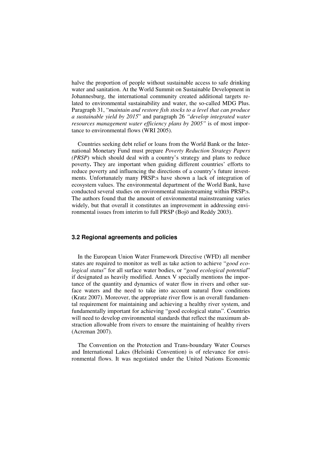halve the proportion of people without sustainable access to safe drinking water and sanitation. At the World Summit on Sustainable Development in Johannesburg, the international community created additional targets related to environmental sustainability and water, the so-called MDG Plus. Paragraph 31, "*maintain and restore fish stocks to a level that can produce a sustainable yield by 2015*" and paragraph 26 *"develop integrated water resources management water efficiency plans by 2005"* is of most importance to environmental flows (WRI 2005).

Countries seeking debt relief or loans from the World Bank or the International Monetary Fund must prepare *Poverty Reduction Strategy Papers (PRSP*) which should deal with a country's strategy and plans to reduce poverty**.** They are important when guiding different countries' efforts to reduce poverty and influencing the directions of a country's future investments. Unfortunately many PRSP:s have shown a lack of integration of ecosystem values. The environmental department of the World Bank, have conducted several studies on environmental mainstreaming within PRSP:s. The authors found that the amount of environmental mainstreaming varies widely, but that overall it constitutes an improvement in addressing environmental issues from interim to full PRSP (Bojö and Reddy 2003).

### **3.2 Regional agreements and policies**

In the European Union Water Framework Directive (WFD) all member states are required to monitor as well as take action to achieve "*good ecological status*" for all surface water bodies, or "*good ecological potential*" if designated as heavily modified. Annex V specially mentions the importance of the quantity and dynamics of water flow in rivers and other surface waters and the need to take into account natural flow conditions (Kratz 2007). Moreover, the appropriate river flow is an overall fundamental requirement for maintaining and achieving a healthy river system, and fundamentally important for achieving "good ecological status". Countries will need to develop environmental standards that reflect the maximum abstraction allowable from rivers to ensure the maintaining of healthy rivers (Acreman 2007).

The Convention on the Protection and Trans-boundary Water Courses and International Lakes (Helsinki Convention) is of relevance for environmental flows. It was negotiated under the United Nations Economic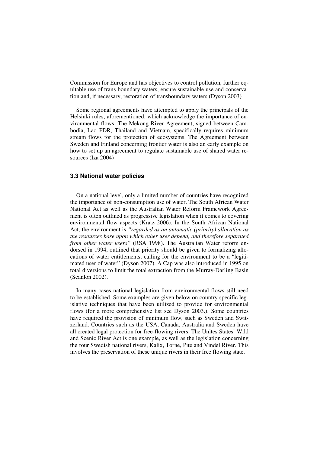Commission for Europe and has objectives to control pollution, further equitable use of trans-boundary waters, ensure sustainable use and conservation and, if necessary, restoration of transboundary waters (Dyson 2003)

Some regional agreements have attempted to apply the principals of the Helsinki rules, aforementioned, which acknowledge the importance of environmental flows. The Mekong River Agreement, signed between Cambodia, Lao PDR, Thailand and Vietnam, specifically requires minimum stream flows for the protection of ecosystems. The Agreement between Sweden and Finland concerning frontier water is also an early example on how to set up an agreement to regulate sustainable use of shared water resources (Iza 2004)

### **3.3 National water policies**

On a national level, only a limited number of countries have recognized the importance of non-consumption use of water. The South African Water National Act as well as the Australian Water Reform Framework Agreement is often outlined as progressive legislation when it comes to covering environmental flow aspects (Kratz 2006). In the South African National Act, the environment is *"regarded as an automatic (priority) allocation as the resources base upon which other user depend, and therefore separated from other water users"* (RSA 1998). The Australian Water reform endorsed in 1994, outlined that priority should be given to formalizing allocations of water entitlements, calling for the environment to be a "legitimated user of water" (Dyson 2007). A Cap was also introduced in 1995 on total diversions to limit the total extraction from the Murray-Darling Basin (Scanlon 2002).

In many cases national legislation from environmental flows still need to be established. Some examples are given below on country specific legislative techniques that have been utilized to provide for environmental flows (for a more comprehensive list see Dyson 2003.). Some countries have required the provision of minimum flow, such as Sweden and Switzerland. Countries such as the USA, Canada, Australia and Sweden have all created legal protection for free-flowing rivers. The Unites States' Wild and Scenic River Act is one example, as well as the legislation concerning the four Swedish national rivers, Kalix, Torne, Pite and Vindel River. This involves the preservation of these unique rivers in their free flowing state.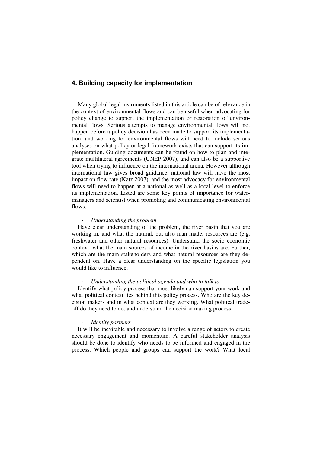## **4. Building capacity for implementation**

Many global legal instruments listed in this article can be of relevance in the context of environmental flows and can be useful when advocating for policy change to support the implementation or restoration of environmental flows. Serious attempts to manage environmental flows will not happen before a policy decision has been made to support its implementation, and working for environmental flows will need to include serious analyses on what policy or legal framework exists that can support its implementation. Guiding documents can be found on how to plan and integrate multilateral agreements (UNEP 2007), and can also be a supportive tool when trying to influence on the international arena. However although international law gives broad guidance, national law will have the most impact on flow rate (Katz 2007), and the most advocacy for environmental flows will need to happen at a national as well as a local level to enforce its implementation. Listed are some key points of importance for watermanagers and scientist when promoting and communicating environmental flows.

#### - *Understanding the problem*

Have clear understanding of the problem, the river basin that you are working in, and what the natural, but also man made, resources are (e.g. freshwater and other natural resources). Understand the socio economic context, what the main sources of income in the river basins are. Further, which are the main stakeholders and what natural resources are they dependent on. Have a clear understanding on the specific legislation you would like to influence.

#### - *Understanding the political agenda and who to talk to*

Identify what policy process that most likely can support your work and what political context lies behind this policy process. Who are the key decision makers and in what context are they working. What political tradeoff do they need to do, and understand the decision making process.

#### - *Identify partners*

It will be inevitable and necessary to involve a range of actors to create necessary engagement and momentum. A careful stakeholder analysis should be done to identify who needs to be informed and engaged in the process. Which people and groups can support the work? What local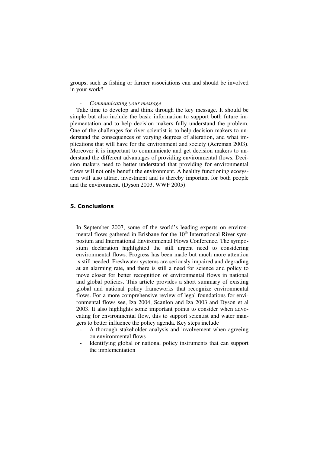groups, such as fishing or farmer associations can and should be involved in your work?

## - *Communicating your message*

Take time to develop and think through the key message. It should be simple but also include the basic information to support both future implementation and to help decision makers fully understand the problem. One of the challenges for river scientist is to help decision makers to understand the consequences of varying degrees of alteration, and what implications that will have for the environment and society (Acreman 2003). Moreover it is important to communicate and get decision makers to understand the different advantages of providing environmental flows. Decision makers need to better understand that providing for environmental flows will not only benefit the environment. A healthy functioning ecosystem will also attract investment and is thereby important for both people and the environment. (Dyson 2003, WWF 2005).

### 5. Conclusions

In September 2007, some of the world's leading experts on environmental flows gathered in Brisbane for the  $10<sup>th</sup>$  International River symposium and International Environmental Flows Conference. The symposium declaration highlighted the still urgent need to considering environmental flows. Progress has been made but much more attention is still needed. Freshwater systems are seriously impaired and degrading at an alarming rate, and there is still a need for science and policy to move closer for better recognition of environmental flows in national and global policies. This article provides a short summary of existing global and national policy frameworks that recognize environmental flows. For a more comprehensive review of legal foundations for environmental flows see, Iza 2004, Scanlon and Iza 2003 and Dyson et al 2003. It also highlights some important points to consider when advocating for environmental flow, this to support scientist and water mangers to better influence the policy agenda. Key steps include

- A thorough stakeholder analysis and involvement when agreeing on environmental flows
- Identifying global or national policy instruments that can support the implementation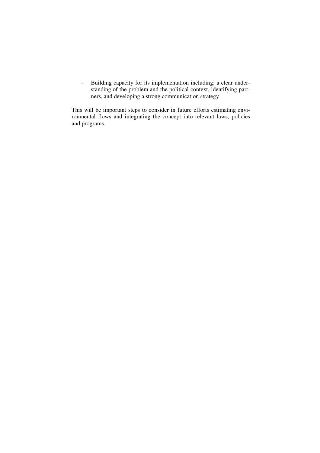- Building capacity for its implementation including; a clear understanding of the problem and the political context, identifying partners, and developing a strong communication strategy

This will be important steps to consider in future efforts estimating envirandom the completion of the concept into relevant laws, policies and programs.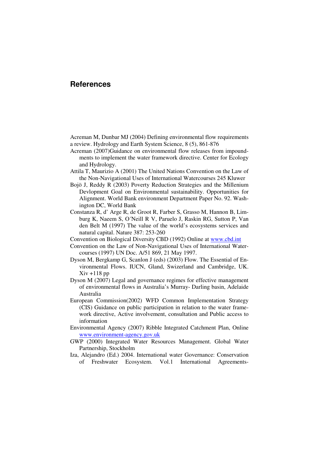# **References**

Acreman M, Dunbar MJ (2004) Defining environmental flow requirements a review. Hydrology and Earth System Science, 8 (5), 861-876

- Acreman (2007)Guidance on environmental flow releases from impoundments to implement the water framework directive. Center for Ecology and Hydrology.
- Attila T, Maurizio A (2001) The United Nations Convention on the Law of the Non-Navigational Uses of International Watercourses 245 Kluwer
- Bojö J, Reddy R (2003) Poverty Reduction Strategies and the Millenium Devlopment Goal on Environmental sustainability. Opportunities for Alignment. World Bank environment Department Paper No. 92. Washington DC, World Bank
- Constanza R, d' Arge R, de Groot R, Farber S, Grasso M, Hannon B, Limburg K, Naeem S, O´Neill R V, Paruelo J, Raskin RG, Sutton P, Van den Belt M (1997) The value of the world's ecosystems services and natural capital. Nature 387: 253-260
- Convention on Biological Diversity CBD (1992) Online at www.cbd.int
- Convention on the Law of Non-Navigational Uses of International Watercourses (1997) UN Doc. A/51 869, 21 May 1997.
- Dyson M, Bergkamp G, Scanlon J (eds) (2003) Flow. The Essential of Environmental Flows. IUCN, Gland, Swizerland and Cambridge, UK.  $Xiv + 118$  pp
- Dyson M (2007) Legal and governance regimes for effective management of environmental flows in Australia's Murray- Darling basin, Adelaide Australia
- European Commission(2002) WFD Common Implementation Strategy (CIS) Guidance on public participation in relation to the water framework directive, Active involvement, consultation and Public access to information
- Environmental Agency (2007) Ribble Integrated Catchment Plan, Online www.environment-agency.gov.uk
- GWP (2000) Integrated Water Resources Management. Global Water Partnership, Stockholm
- Iza, Alejandro (Ed.) 2004. International water Governance: Conservation of Freshwater Ecosystem. Vol.1 International Agreements-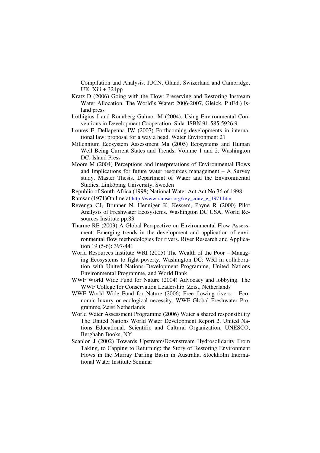Compilation and Analysis. IUCN, Gland, Swizerland and Cambridge, UK. Xiii + 324pp

- Kratz D (2006) Going with the Flow: Preserving and Restoring Instream Water Allocation. The World's Water: 2006-2007, Gleick, P (Ed.) Island press
- Lothigius J and Rönnberg Galmor M (2004), Using Environmental Conventions in Development Cooperation. Sida. ISBN 91-585-5926 9
- Loures F, Dellapenna JW (2007) Forthcoming developments in international law: proposal for a way a head. Water Environment 21
- Millennium Ecosystem Assessment Ma (2005) Ecosystems and Human Well Being Current States and Trends, Volume 1 and 2. Washington DC: Island Press
- Moore M (2004) Perceptions and interpretations of Environmental Flows and Implications for future water resources management – A Survey study. Master Thesis. Department of Water and the Environmental Studies, Linköping University, Sweden

Republic of South Africa (1998) National Water Act Act No 36 of 1998

- Ramsar (1971)On line at http://www.ramsar.org/key\_conv\_e\_1971.htm
- Revenga CJ, Brunner N, Henniger K, Kessem, Payne R (2000) Pilot Analysis of Freshwater Ecosystems. Washington DC USA, World Resources Institute pp.83
- Tharme RE (2003) A Global Perspective on Environmental Flow Assessment: Emerging trends in the development and application of environmental flow methodologies for rivers. River Research and Application 19 (5-6): 397-441
- World Resources Institute WRI (2005) The Wealth of the Poor Managing Ecosystems to fight poverty. Washington DC: WRI in collaboration with United Nations Development Programme, United Nations Environmental Programme, and World Bank
- WWF World Wide Fund for Nature (2004) Advocacy and lobbying. The WWF College for Conservation Leadership. Zeist, Netherlands
- WWF World Wide Fund for Nature (2006) Free flowing rivers Economic luxury or ecological necessity. WWF Global Freshwater Programme, Zeist Netherlands
- World Water Assessment Programme (2006) Water a shared responsibility The United Nations World Water Development Report 2. United Nations Educational, Scientific and Cultural Organization, UNESCO, Berghahn Books, NY
- Scanlon J (2002) Towards Upstream/Downstream Hydrosolidarity From Taking, to Capping to Returning: the Story of Restoring Environment Flows in the Murray Darling Basin in Australia, Stockholm International Water Institute Seminar